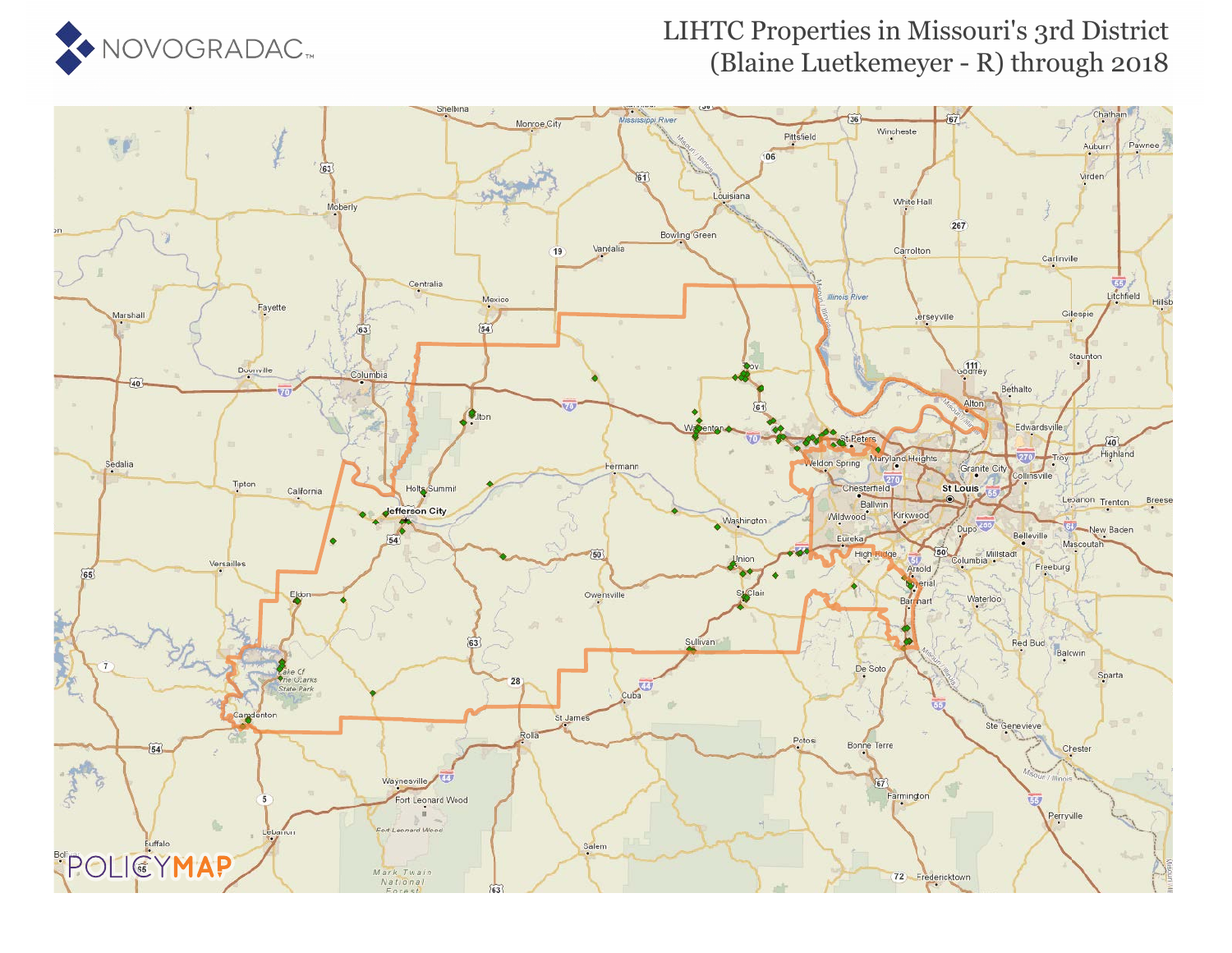

### LIHTC Properties in Missouri's 3rd District (Blaine Luetkemeyer - R) through 2018

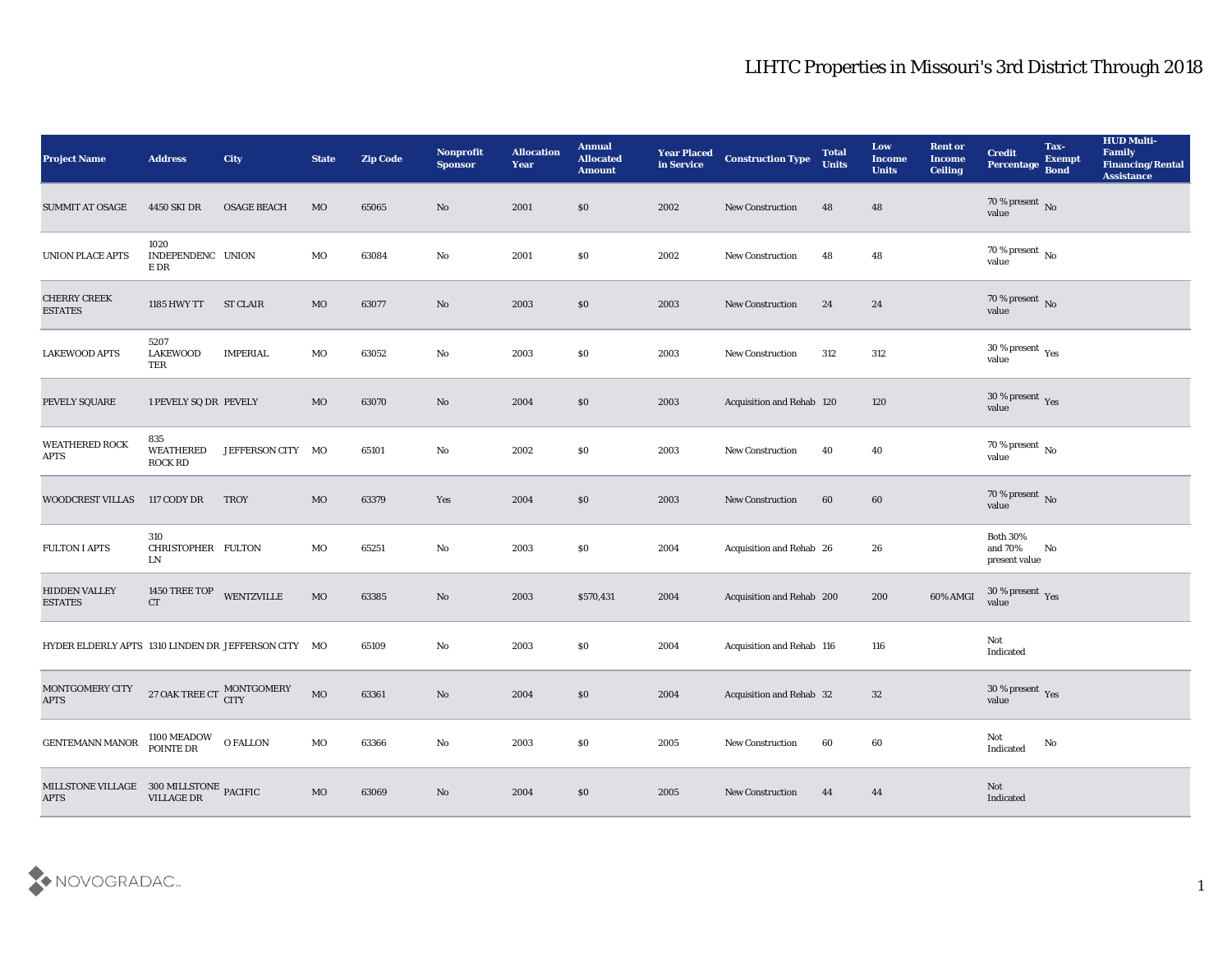| <b>Project Name</b>                                                                                                                                                                                      | <b>Address</b>                     | <b>City</b>               | <b>State</b> | <b>Zip Code</b> | Nonprofit<br><b>Sponsor</b> | <b>Allocation</b><br>Year | <b>Annual</b><br><b>Allocated</b><br><b>Amount</b> | <b>Year Placed</b><br>in Service | <b>Construction Type</b>         | <b>Total</b><br><b>Units</b> | Low<br><b>Income</b><br><b>Units</b> | <b>Rent or</b><br><b>Income</b><br><b>Ceiling</b> | <b>Credit</b><br>Percentage                   | Tax-<br><b>Exempt</b><br><b>Bond</b> | <b>HUD Multi-</b><br>Family<br><b>Financing/Rental</b><br><b>Assistance</b> |
|----------------------------------------------------------------------------------------------------------------------------------------------------------------------------------------------------------|------------------------------------|---------------------------|--------------|-----------------|-----------------------------|---------------------------|----------------------------------------------------|----------------------------------|----------------------------------|------------------------------|--------------------------------------|---------------------------------------------------|-----------------------------------------------|--------------------------------------|-----------------------------------------------------------------------------|
| <b>SUMMIT AT OSAGE</b>                                                                                                                                                                                   | 4450 SKI DR                        | <b>OSAGE BEACH</b>        | <b>MO</b>    | 65065           | No                          | 2001                      | \$0                                                | 2002                             | <b>New Construction</b>          | 48                           | 48                                   |                                                   | $70\,\%$ present $\,$ No value                |                                      |                                                                             |
| <b>UNION PLACE APTS</b>                                                                                                                                                                                  | 1020<br>INDEPENDENC UNION<br>E DR  |                           | MO           | 63084           | No                          | 2001                      | \$0                                                | 2002                             | <b>New Construction</b>          | 48                           | 48                                   |                                                   | $70\,\%$ present $\,$ No value                |                                      |                                                                             |
| <b>CHERRY CREEK</b><br><b>ESTATES</b>                                                                                                                                                                    | 1185 HWY TT                        | <b>ST CLAIR</b>           | MO           | 63077           | No                          | 2003                      | $\$0$                                              | 2003                             | New Construction                 | 24                           | 24                                   |                                                   | $70\,\%$ present $\,$ No value                |                                      |                                                                             |
| <b>LAKEWOOD APTS</b>                                                                                                                                                                                     | 5207<br><b>LAKEWOOD</b><br>TER     | <b>IMPERIAL</b>           | MO           | 63052           | No                          | 2003                      | \$0                                                | 2003                             | New Construction                 | 312                          | 312                                  |                                                   | $30\,\%$ present $\,$ Yes value               |                                      |                                                                             |
| PEVELY SQUARE                                                                                                                                                                                            | 1 PEVELY SQ DR PEVELY              |                           | MO           | 63070           | No                          | 2004                      | \$0                                                | 2003                             | <b>Acquisition and Rehab 120</b> |                              | 120                                  |                                                   | $30\,\%$ present $\,$ Yes value               |                                      |                                                                             |
| <b>WEATHERED ROCK</b><br><b>APTS</b>                                                                                                                                                                     | 835<br>WEATHERED<br><b>ROCK RD</b> | JEFFERSON CITY MO         |              | 65101           | No                          | 2002                      | \$0                                                | 2003                             | New Construction                 | 40                           | 40                                   |                                                   | $70\,\%$ present $\,$ No value                |                                      |                                                                             |
| <b>WOODCREST VILLAS</b>                                                                                                                                                                                  | 117 CODY DR                        | <b>TROY</b>               | MO           | 63379           | Yes                         | 2004                      | $\$0$                                              | 2003                             | New Construction                 | 60                           | 60                                   |                                                   | $70\,\%$ present $\,$ No value                |                                      |                                                                             |
| <b>FULTON I APTS</b>                                                                                                                                                                                     | 310<br>CHRISTOPHER FULTON<br>LN    |                           | MO           | 65251           | No                          | 2003                      | \$0                                                | 2004                             | Acquisition and Rehab 26         |                              | 26                                   |                                                   | <b>Both 30%</b><br>and 70%<br>present value   | No                                   |                                                                             |
| <b>HIDDEN VALLEY</b><br><b>ESTATES</b>                                                                                                                                                                   | 1450 TREE TOP<br><b>CT</b>         | WENTZVILLE                | $_{\rm MO}$  | 63385           | No                          | 2003                      | \$570,431                                          | 2004                             | Acquisition and Rehab 200        |                              | 200                                  | 60% AMGI                                          | $30\,\%$ present $\,$ Yes value               |                                      |                                                                             |
| HYDER ELDERLY APTS 1310 LINDEN DR JEFFERSON CITY MO                                                                                                                                                      |                                    |                           |              | 65109           | No                          | 2003                      | \$0                                                | 2004                             | Acquisition and Rehab 116        |                              | 116                                  |                                                   | Not<br>Indicated                              |                                      |                                                                             |
| MONTGOMERY CITY<br><b>APTS</b>                                                                                                                                                                           |                                    | 27 OAK TREE CT MONTGOMERY | $_{\rm MO}$  | 63361           | No                          | 2004                      | \$0                                                | 2004                             | <b>Acquisition and Rehab 32</b>  |                              | 32                                   |                                                   | 30 % present $\,\rm \gamma_{\rm es}$<br>value |                                      |                                                                             |
| <b>GENTEMANN MANOR</b>                                                                                                                                                                                   | 1100 MEADOW O FALLON<br>POINTE DR  |                           | $_{\rm MO}$  | 63366           | No                          | 2003                      | \$0                                                | 2005                             | <b>New Construction</b>          | 60                           | 60                                   |                                                   | Not<br>Indicated                              | $\mathbf {No}$                       |                                                                             |
| $\begin{tabular}{ll} \bf{MILLSTONE \hspace{0.1cm} VILLAGE & \textbf{300 \hspace{0.1cm} MILLSTONE} \hspace{0.1cm} PACIFIC \\ \bf{APTS} & \hspace{0.1cm} \textbf{VILLAGE \hspace{0.1cm} DR} \end{tabular}$ |                                    |                           | MO           | 63069           | $\rm\thinspace No$          | 2004                      | \$0                                                | 2005                             | <b>New Construction</b>          | 44                           | 44                                   |                                                   | Not<br>Indicated                              |                                      |                                                                             |

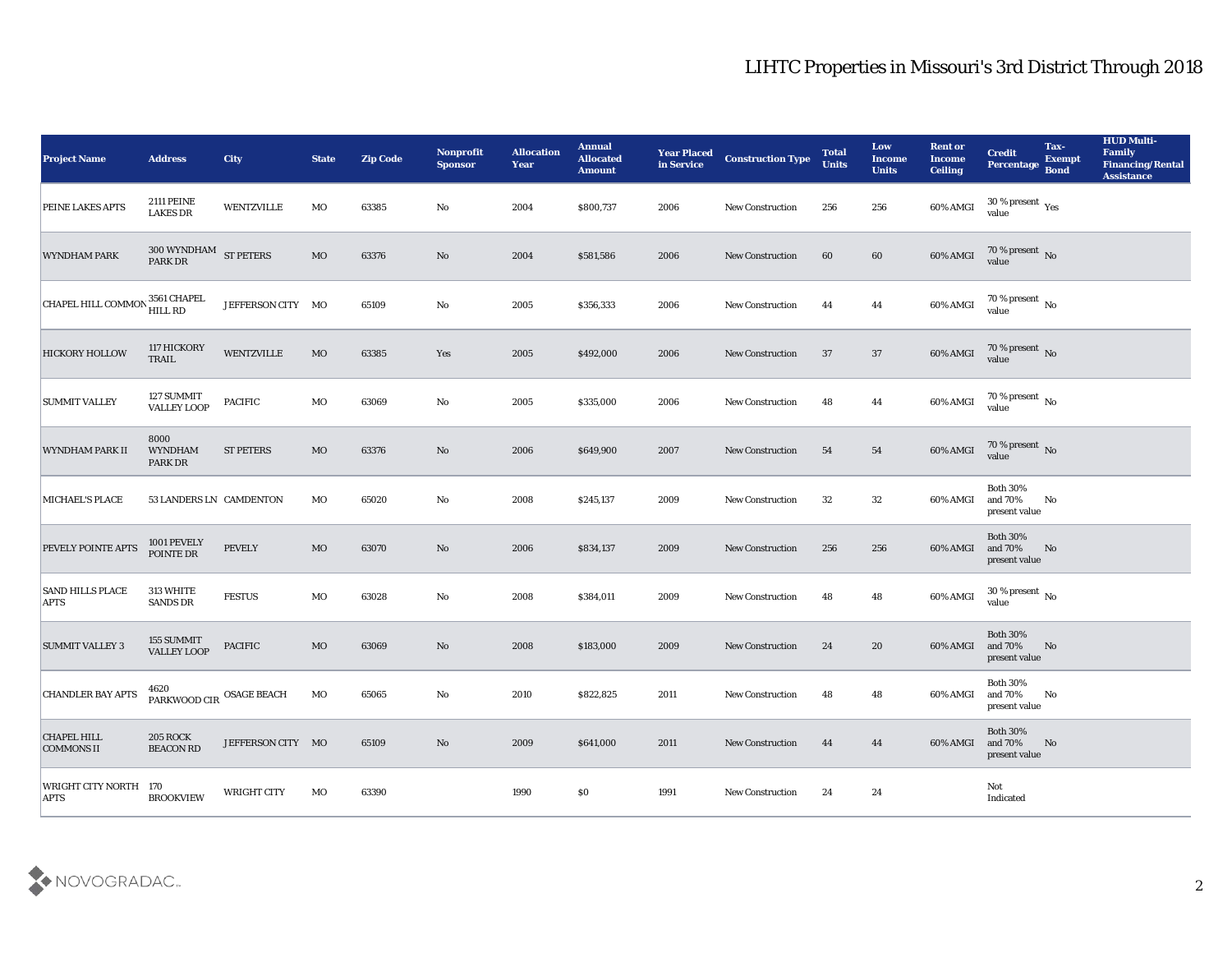| <b>Project Name</b>                     | <b>Address</b>                                                           | City              | <b>State</b> | <b>Zip Code</b> | Nonprofit<br><b>Sponsor</b> | <b>Allocation</b><br>Year | <b>Annual</b><br><b>Allocated</b><br><b>Amount</b> | <b>Year Placed</b><br>in Service | <b>Construction Type</b> | <b>Total</b><br><b>Units</b> | Low<br><b>Income</b><br><b>Units</b> | <b>Rent or</b><br><b>Income</b><br><b>Ceiling</b> | <b>Credit</b><br>Percentage                             | Tax-<br><b>Exempt</b><br><b>Bond</b> | <b>HUD Multi-</b><br>Family<br><b>Financing/Rental</b><br><b>Assistance</b> |
|-----------------------------------------|--------------------------------------------------------------------------|-------------------|--------------|-----------------|-----------------------------|---------------------------|----------------------------------------------------|----------------------------------|--------------------------|------------------------------|--------------------------------------|---------------------------------------------------|---------------------------------------------------------|--------------------------------------|-----------------------------------------------------------------------------|
| <b>PEINE LAKES APTS</b>                 | <b>2111 PEINE</b><br><b>LAKES DR</b>                                     | WENTZVILLE        | MO           | 63385           | No                          | 2004                      | \$800,737                                          | 2006                             | <b>New Construction</b>  | 256                          | 256                                  | 60% AMGI                                          | 30 % present $\gamma_{\rm e s}$<br>value                |                                      |                                                                             |
| <b>WYNDHAM PARK</b>                     | $300$ WYNDHAM $\,$ ST PETERS PARK DR                                     |                   | <b>MO</b>    | 63376           | No                          | 2004                      | \$581,586                                          | 2006                             | <b>New Construction</b>  | 60                           | 60                                   | 60% AMGI                                          | $70\,\%$ present $\,$ No value                          |                                      |                                                                             |
| CHAPEL HILL COMMON                      | , 3561 CHAPEL<br>HILL RD                                                 | JEFFERSON CITY MO |              | 65109           | No                          | 2005                      | \$356,333                                          | 2006                             | <b>New Construction</b>  | 44                           | 44                                   | 60% AMGI                                          | $70\,\%$ present $\,$ No value                          |                                      |                                                                             |
| <b>HICKORY HOLLOW</b>                   | 117 HICKORY<br>TRAIL                                                     | <b>WENTZVILLE</b> | MO           | 63385           | Yes                         | 2005                      | \$492,000                                          | 2006                             | <b>New Construction</b>  | 37                           | 37                                   | 60% AMGI                                          | $70\,\%$ present $\,$ No value                          |                                      |                                                                             |
| <b>SUMMIT VALLEY</b>                    | 127 SUMMIT<br><b>VALLEY LOOP</b>                                         | <b>PACIFIC</b>    | MO           | 63069           | No                          | 2005                      | \$335,000                                          | 2006                             | New Construction         | 48                           | 44                                   | 60% AMGI                                          | $70\,\%$ present $\,$ No value                          |                                      |                                                                             |
| WYNDHAM PARK II                         | 8000<br><b>WYNDHAM</b><br>PARK DR                                        | <b>ST PETERS</b>  | MO           | 63376           | No                          | 2006                      | \$649,900                                          | 2007                             | <b>New Construction</b>  | 54                           | 54                                   | 60% AMGI                                          | $70\,\%$ present $\,$ No value                          |                                      |                                                                             |
| MICHAEL'S PLACE                         | 53 LANDERS LN CAMDENTON                                                  |                   | MO           | 65020           | No                          | 2008                      | \$245,137                                          | 2009                             | <b>New Construction</b>  | 32                           | 32                                   | 60% AMGI                                          | <b>Both 30%</b><br>and 70%<br>present value             | No                                   |                                                                             |
| <b>PEVELY POINTE APTS</b>               | 1001 PEVELY<br>POINTE DR                                                 | <b>PEVELY</b>     | MO           | 63070           | No                          | 2006                      | \$834,137                                          | 2009                             | <b>New Construction</b>  | 256                          | 256                                  | 60% AMGI                                          | <b>Both 30%</b><br>and 70%<br>present value             | No                                   |                                                                             |
| <b>SAND HILLS PLACE</b><br><b>APTS</b>  | 313 WHITE<br><b>SANDS DR</b>                                             | <b>FESTUS</b>     | MO           | 63028           | No                          | 2008                      | \$384,011                                          | 2009                             | <b>New Construction</b>  | 48                           | 48                                   | 60% AMGI                                          | $30\,\%$ present $\,$ No value                          |                                      |                                                                             |
| <b>SUMMIT VALLEY 3</b>                  | 155 SUMMIT<br><b>VALLEY LOOP</b>                                         | <b>PACIFIC</b>    | MO           | 63069           | No                          | 2008                      | \$183,000                                          | 2009                             | <b>New Construction</b>  | 24                           | 20                                   | 60% AMGI                                          | <b>Both 30%</b><br>and 70%<br>present value             | No                                   |                                                                             |
| <b>CHANDLER BAY APTS</b>                | $\ensuremath{\mathsf{PARKWOOD}}$ CIR $\ensuremath{\mathsf{OSAGE}}$ BEACH |                   | MO           | 65065           | No                          | 2010                      | \$822,825                                          | 2011                             | <b>New Construction</b>  | 48                           | 48                                   | 60% AMGI and 70%                                  | <b>Both 30%</b><br>present value                        | No                                   |                                                                             |
| <b>CHAPEL HILL</b><br><b>COMMONS II</b> | <b>205 ROCK</b><br><b>BEACON RD</b>                                      | JEFFERSON CITY MO |              | 65109           | $\rm\thinspace No$          | 2009                      | \$641,000                                          | 2011                             | <b>New Construction</b>  | 44                           | 44                                   |                                                   | <b>Both 30%</b><br>60% AMGI and 70% No<br>present value |                                      |                                                                             |
| WRIGHT CITY NORTH 170<br><b>APTS</b>    | <b>BROOKVIEW</b>                                                         | WRIGHT CITY       | MO           | 63390           |                             | 1990                      | \$0                                                | 1991                             | <b>New Construction</b>  | 24                           | 24                                   |                                                   | Not<br>Indicated                                        |                                      |                                                                             |

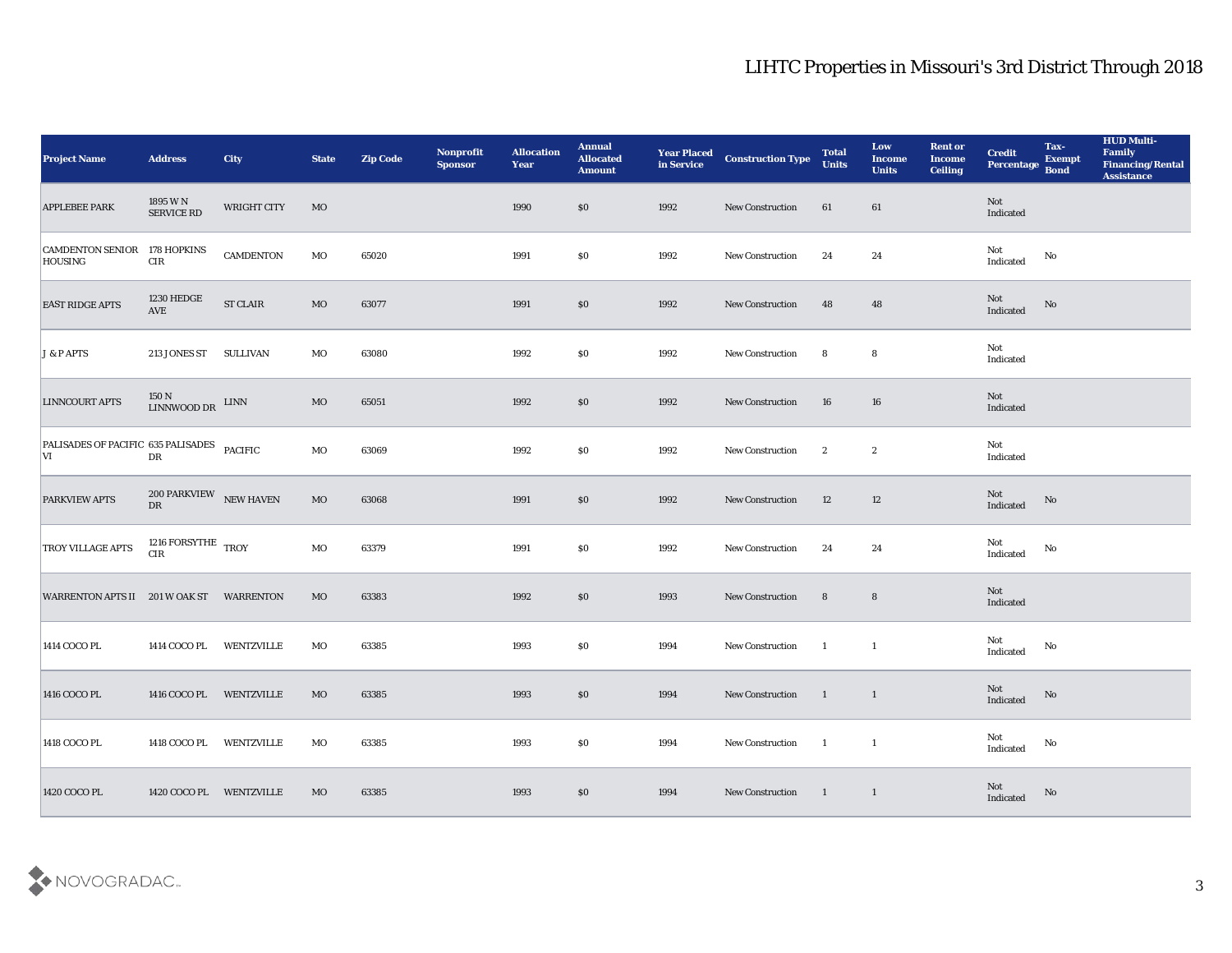| <b>Project Name</b>                              | <b>Address</b>                                                                             | City             | <b>State</b> | <b>Zip Code</b> | Nonprofit<br><b>Sponsor</b> | <b>Allocation</b><br><b>Year</b> | <b>Annual</b><br><b>Allocated</b><br><b>Amount</b> | <b>Year Placed</b><br>in Service | <b>Construction Type</b> | <b>Total</b><br><b>Units</b> | Low<br><b>Income</b><br><b>Units</b> | <b>Rent or</b><br><b>Income</b><br><b>Ceiling</b> | <b>Credit</b><br>Percentage Bond  | Tax-<br><b>Exempt</b> | <b>HUD Multi-</b><br>Family<br><b>Financing/Rental</b><br><b>Assistance</b> |
|--------------------------------------------------|--------------------------------------------------------------------------------------------|------------------|--------------|-----------------|-----------------------------|----------------------------------|----------------------------------------------------|----------------------------------|--------------------------|------------------------------|--------------------------------------|---------------------------------------------------|-----------------------------------|-----------------------|-----------------------------------------------------------------------------|
| <b>APPLEBEE PARK</b>                             | 1895 W N<br>SERVICE RD                                                                     | WRIGHT CITY      | MO           |                 |                             | 1990                             | \$0                                                | 1992                             | New Construction         | 61                           | 61                                   |                                                   | Not<br>Indicated                  |                       |                                                                             |
| <b>CAMDENTON SENIOR</b><br><b>HOUSING</b>        | 178 HOPKINS<br>$\rm CIR$                                                                   | <b>CAMDENTON</b> | MO           | 65020           |                             | 1991                             | \$0                                                | 1992                             | <b>New Construction</b>  | 24                           | 24                                   |                                                   | Not<br>$\operatorname{Indicated}$ | No                    |                                                                             |
| <b>EAST RIDGE APTS</b>                           | 1230 HEDGE<br>$\operatorname{AVE}$                                                         | <b>ST CLAIR</b>  | $_{\rm MO}$  | 63077           |                             | 1991                             | $\boldsymbol{\mathsf{S}}\boldsymbol{\mathsf{0}}$   | 1992                             | <b>New Construction</b>  | 48                           | 48                                   |                                                   | Not<br>Indicated                  | No                    |                                                                             |
| J & P APTS                                       | 213 JONES ST                                                                               | <b>SULLIVAN</b>  | MO           | 63080           |                             | 1992                             | \$0                                                | 1992                             | New Construction         | 8                            | 8                                    |                                                   | Not<br>Indicated                  |                       |                                                                             |
| <b>LINNCOURT APTS</b>                            | $\begin{array}{ll} 150\ \mathrm{N} & \mathrm{LINN} \\ \mathrm{LINNWOOD\ DR} & \end{array}$ |                  | MO           | 65051           |                             | 1992                             | $\$0$                                              | 1992                             | <b>New Construction</b>  | 16                           | 16                                   |                                                   | Not<br>Indicated                  |                       |                                                                             |
| PALISADES OF PACIFIC 635 PALISADES PACIFIC<br> V | ${\rm D}{\rm R}$                                                                           |                  | MO           | 63069           |                             | 1992                             | \$0                                                | 1992                             | <b>New Construction</b>  | $\mathbf{2}$                 | $\boldsymbol{2}$                     |                                                   | Not<br>Indicated                  |                       |                                                                             |
| <b>PARKVIEW APTS</b>                             | $200$ PARKVIEW $$\,{\rm NEW\;HAVEN}$$ DR                                                   |                  | $_{\rm MO}$  | 63068           |                             | 1991                             | $\boldsymbol{\mathsf{S}}\boldsymbol{\mathsf{0}}$   | 1992                             | New Construction         | 12                           | 12                                   |                                                   | Not<br>Indicated                  | No                    |                                                                             |
| <b>TROY VILLAGE APTS</b>                         | 1216 FORSYTHE $\,$ TROY<br><b>CIR</b>                                                      |                  | MO           | 63379           |                             | 1991                             | \$0                                                | 1992                             | <b>New Construction</b>  | 24                           | 24                                   |                                                   | Not<br>Indicated                  | No                    |                                                                             |
| WARRENTON APTS II 201 W OAK ST WARRENTON         |                                                                                            |                  | MO           | 63383           |                             | 1992                             | $\$0$                                              | 1993                             | New Construction         | 8                            | $8\phantom{1}$                       |                                                   | Not<br>Indicated                  |                       |                                                                             |
| 1414 COCO PL                                     | 1414 COCO PL                                                                               | WENTZVILLE       | MO           | 63385           |                             | 1993                             | $\$0$                                              | 1994                             | New Construction         | $\mathbf{1}$                 | $\mathbf{1}$                         |                                                   | Not<br>Indicated                  | No                    |                                                                             |
| 1416 COCO PL                                     | 1416 COCO PL WENTZVILLE                                                                    |                  | MO           | 63385           |                             | 1993                             | \$0                                                | 1994                             | <b>New Construction</b>  | $\blacksquare$               | $\mathbf{1}$                         |                                                   | Not<br>Indicated                  | No                    |                                                                             |
| 1418 COCO PL                                     | 1418 COCO PL WENTZVILLE                                                                    |                  | $_{\rm MO}$  | 63385           |                             | 1993                             | $\$0$                                              | 1994                             | New Construction         | $\overline{1}$               | $\overline{\phantom{a}}$             |                                                   | Not<br>$\operatorname{Indicated}$ | $\mathbf {No}$        |                                                                             |
| 1420 COCO PL                                     | 1420 COCO PL WENTZVILLE                                                                    |                  | MO           | 63385           |                             | 1993                             | $\$0$                                              | 1994                             | <b>New Construction</b>  | $\blacksquare$               | $\overline{1}$                       |                                                   | Not<br>Indicated                  | $\rm\thinspace No$    |                                                                             |

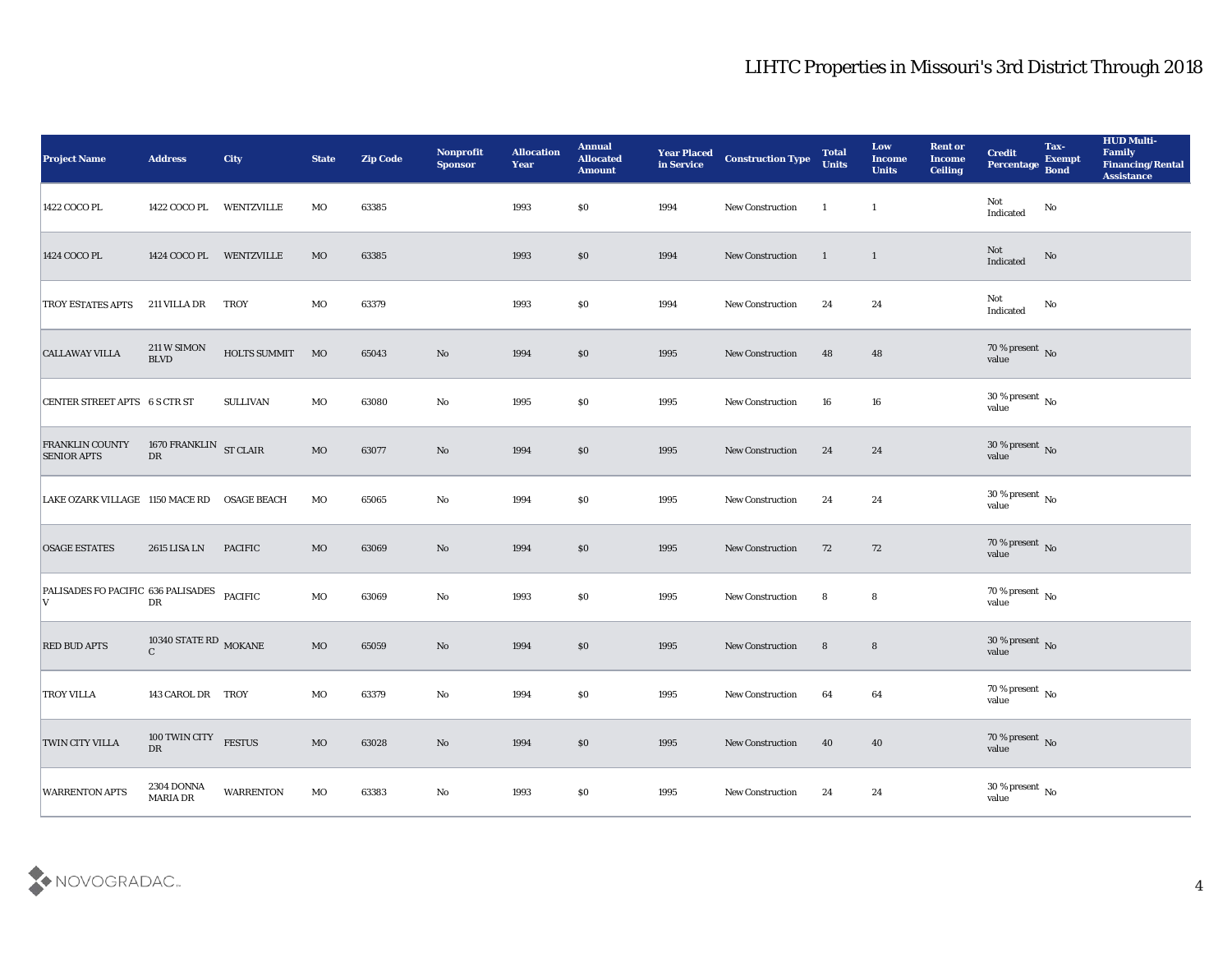| <b>Project Name</b>                               | <b>Address</b>                                   | <b>City</b>        | <b>State</b> | <b>Zip Code</b> | Nonprofit<br><b>Sponsor</b> | <b>Allocation</b><br><b>Year</b> | <b>Annual</b><br><b>Allocated</b><br><b>Amount</b> | <b>Year Placed</b><br>in Service | <b>Construction Type</b> | <b>Total</b><br><b>Units</b> | Low<br><b>Income</b><br><b>Units</b> | <b>Rent or</b><br><b>Income</b><br><b>Ceiling</b> | <b>Credit</b><br><b>Percentage</b>  | Tax-<br><b>Exempt</b><br><b>Bond</b> | <b>HUD Multi-</b><br>Family<br><b>Financing/Rental</b><br><b>Assistance</b> |
|---------------------------------------------------|--------------------------------------------------|--------------------|--------------|-----------------|-----------------------------|----------------------------------|----------------------------------------------------|----------------------------------|--------------------------|------------------------------|--------------------------------------|---------------------------------------------------|-------------------------------------|--------------------------------------|-----------------------------------------------------------------------------|
| 1422 COCO PL                                      | 1422 COCO PL                                     | <b>WENTZVILLE</b>  | MO           | 63385           |                             | 1993                             | \$0                                                | 1994                             | New Construction         | -1                           | $\mathbf{1}$                         |                                                   | Not<br>$\operatorname{Indicated}$   | No                                   |                                                                             |
| 1424 COCO PL                                      | 1424 COCO PL WENTZVILLE                          |                    | MO           | 63385           |                             | 1993                             | \$0                                                | 1994                             | New Construction         | -1                           | $\mathbf{1}$                         |                                                   | Not<br>Indicated                    | No                                   |                                                                             |
| TROY ESTATES APTS                                 | 211 VILLA DR                                     | <b>TROY</b>        | MO           | 63379           |                             | 1993                             | \$0                                                | 1994                             | New Construction         | 24                           | 24                                   |                                                   | Not<br>Indicated                    | No                                   |                                                                             |
| <b>CALLAWAY VILLA</b>                             | 211 W SIMON<br><b>BLVD</b>                       | HOLTS SUMMIT       | MO           | 65043           | No                          | 1994                             | \$0                                                | 1995                             | New Construction         | 48                           | 48                                   |                                                   | $70\,\%$ present $\,$ No value      |                                      |                                                                             |
| CENTER STREET APTS 6 S CTR ST                     |                                                  | <b>SULLIVAN</b>    | MO           | 63080           | No                          | 1995                             | \$0                                                | 1995                             | New Construction         | 16                           | 16                                   |                                                   | $30\,\%$ present $\,$ No value      |                                      |                                                                             |
| FRANKLIN COUNTY<br><b>SENIOR APTS</b>             | 1670 FRANKLIN ST CLAIR<br>$\mathbf{D}\mathbf{R}$ |                    | <b>MO</b>    | 63077           | No                          | 1994                             | \$0                                                | 1995                             | <b>New Construction</b>  | 24                           | 24                                   |                                                   | $30\,\%$ present $\,$ No value      |                                      |                                                                             |
| LAKE OZARK VILLAGE 1150 MACE RD                   |                                                  | <b>OSAGE BEACH</b> | MO           | 65065           | No                          | 1994                             | \$0                                                | 1995                             | New Construction         | 24                           | 24                                   |                                                   | $30\,\%$ present $\,$ No value      |                                      |                                                                             |
| <b>OSAGE ESTATES</b>                              | 2615 LISA LN                                     | <b>PACIFIC</b>     | MO           | 63069           | No                          | 1994                             | \$0                                                | 1995                             | New Construction         | 72                           | 72                                   |                                                   | $70\,\%$ present $\,$ No $\,$ value |                                      |                                                                             |
| PALISADES FO PACIFIC 636 PALISADES<br>$\mathbf V$ | DR                                               | <b>PACIFIC</b>     | $_{\rm MO}$  | 63069           | No                          | 1993                             | \$0                                                | 1995                             | New Construction         | 8                            | 8                                    |                                                   | $70\,\%$ present $\,$ No value      |                                      |                                                                             |
| <b>RED BUD APTS</b>                               | 10340 STATE RD $_{\rm MOKANE}$<br>$\mathbf{C}$   |                    | $_{\rm MO}$  | 65059           | No                          | 1994                             | \$0                                                | 1995                             | <b>New Construction</b>  | 8                            | $8\phantom{1}$                       |                                                   | $30\,\%$ present $\,$ No value      |                                      |                                                                             |
| <b>TROY VILLA</b>                                 | 143 CAROL DR TROY                                |                    | MO           | 63379           | No                          | 1994                             | \$0                                                | 1995                             | <b>New Construction</b>  | 64                           | 64                                   |                                                   | $70\,\% \,present \over 0$ value    |                                      |                                                                             |
| TWIN CITY VILLA                                   | 100 TWIN CITY FESTUS<br>${\rm D}{\rm R}$         |                    | $_{\rm MO}$  | 63028           | $\rm\thinspace No$          | 1994                             | $\$0$                                              | 1995                             | New Construction         | 40                           | 40                                   |                                                   | $70\,\%$ present $\,$ No value      |                                      |                                                                             |
| <b>WARRENTON APTS</b>                             | 2304 DONNA<br>MARIA DR                           | <b>WARRENTON</b>   | $_{\rm MO}$  | 63383           | $\rm\thinspace No$          | 1993                             | $\$0$                                              | 1995                             | New Construction         | 24                           | 24                                   |                                                   | $30\,\%$ present $\,$ No value      |                                      |                                                                             |

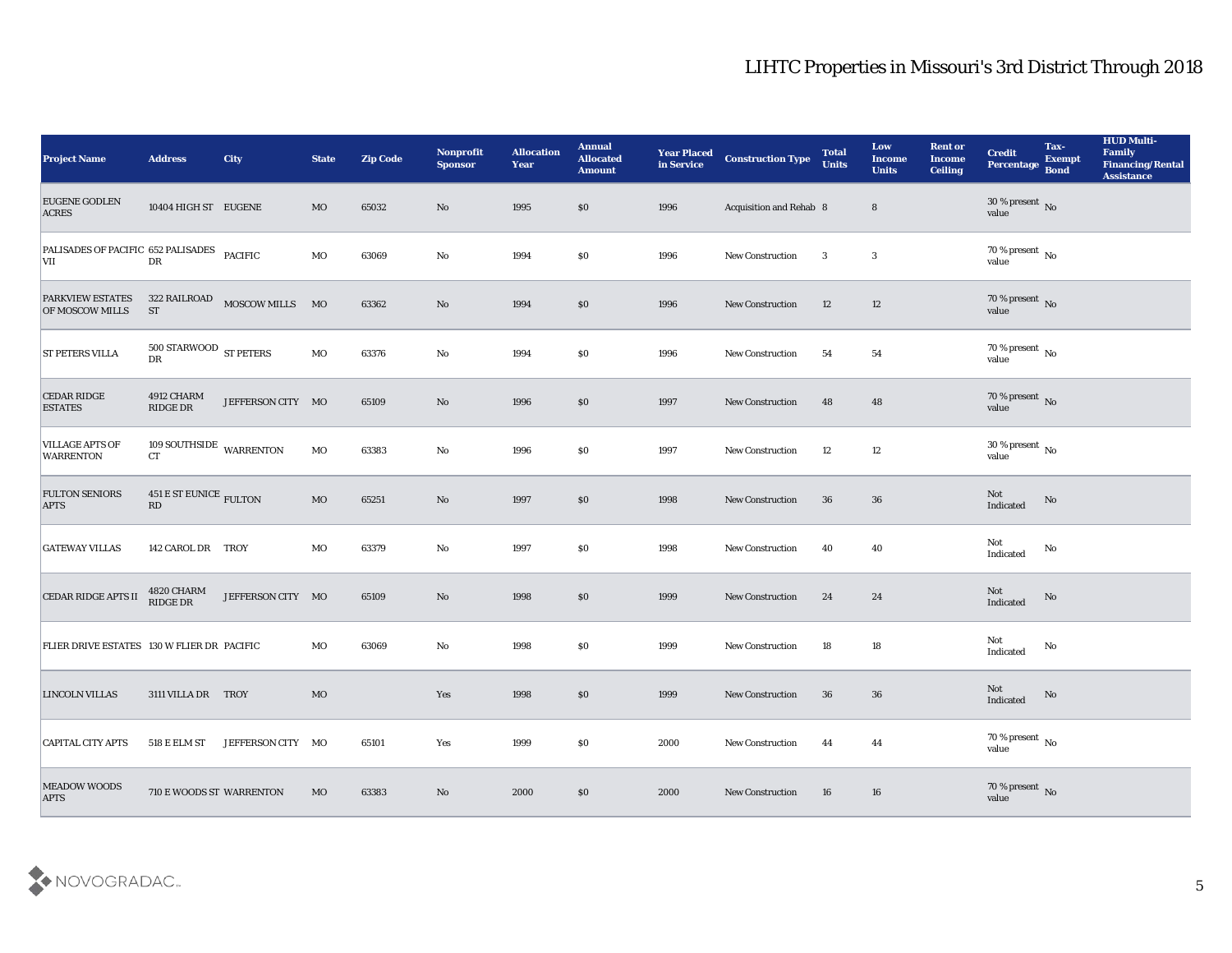| <b>Project Name</b>                        | <b>Address</b>                                                 | <b>City</b>                  | <b>State</b> | <b>Zip Code</b> | Nonprofit<br><b>Sponsor</b> | <b>Allocation</b><br><b>Year</b> | <b>Annual</b><br><b>Allocated</b><br><b>Amount</b> | <b>Year Placed</b><br>in Service | <b>Construction Type</b> | <b>Total</b><br><b>Units</b> | Low<br><b>Income</b><br><b>Units</b> | <b>Rent or</b><br><b>Income</b><br><b>Ceiling</b> | <b>Credit</b><br>Percentage        | Tax-<br><b>Exempt</b><br><b>Bond</b> | <b>HUD Multi-</b><br>Family<br><b>Financing/Rental</b><br><b>Assistance</b> |
|--------------------------------------------|----------------------------------------------------------------|------------------------------|--------------|-----------------|-----------------------------|----------------------------------|----------------------------------------------------|----------------------------------|--------------------------|------------------------------|--------------------------------------|---------------------------------------------------|------------------------------------|--------------------------------------|-----------------------------------------------------------------------------|
| <b>EUGENE GODLEN</b><br><b>ACRES</b>       | 10404 HIGH ST EUGENE                                           |                              | <b>MO</b>    | 65032           | No                          | 1995                             | \$0                                                | 1996                             | Acquisition and Rehab 8  |                              | $8\phantom{1}$                       |                                                   | 30 % present No<br>value           |                                      |                                                                             |
| PALISADES OF PACIFIC 652 PALISADES<br>VII  | DR                                                             | <b>PACIFIC</b>               | MO           | 63069           | No                          | 1994                             | $\$0$                                              | 1996                             | New Construction         | 3                            | 3                                    |                                                   | 70 % present $\,$ No $\,$<br>value |                                      |                                                                             |
| <b>PARKVIEW ESTATES</b><br>OF MOSCOW MILLS | <b>ST</b>                                                      | 322 RAILROAD MOSCOW MILLS MO |              | 63362           | $\mathbf{N}\mathbf{o}$      | 1994                             | \$0                                                | 1996                             | New Construction         | 12                           | 12                                   |                                                   | $70\,\%$ present $\,$ No value     |                                      |                                                                             |
| <b>ST PETERS VILLA</b>                     | 500 STARWOOD ST PETERS<br>${\rm D}{\rm R}$                     |                              | MO           | 63376           | No                          | 1994                             | \$0                                                | 1996                             | <b>New Construction</b>  | 54                           | 54                                   |                                                   | $70\,\%$ present $\,$ No value     |                                      |                                                                             |
| <b>CEDAR RIDGE</b><br><b>ESTATES</b>       | 4912 CHARM<br>RIDGE DR                                         | JEFFERSON CITY MO            |              | 65109           | No                          | 1996                             | \$0                                                | 1997                             | <b>New Construction</b>  | 48                           | 48                                   |                                                   | $70\,\%$ present $\,$ No value     |                                      |                                                                             |
| <b>VILLAGE APTS OF</b><br><b>WARRENTON</b> | 109 SOUTHSIDE WARRENTON<br>CT                                  |                              | MO           | 63383           | No                          | 1996                             | $\$0$                                              | 1997                             | <b>New Construction</b>  | 12                           | 12                                   |                                                   | $30\,\%$ present $\,$ No value     |                                      |                                                                             |
| <b>FULTON SENIORS</b><br><b>APTS</b>       | $451\,\mathrm{E}\,\mathrm{ST}$ EUNICE $_\mathrm{FULTON}$<br>RD |                              | $_{\rm MO}$  | 65251           | No                          | 1997                             | \$0                                                | 1998                             | <b>New Construction</b>  | 36                           | 36                                   |                                                   | Not<br>Indicated                   | No                                   |                                                                             |
| <b>GATEWAY VILLAS</b>                      | 142 CAROL DR TROY                                              |                              | MO           | 63379           | $\mathbf{No}$               | 1997                             | \$0                                                | 1998                             | <b>New Construction</b>  | 40                           | 40                                   |                                                   | Not<br>Indicated                   | No                                   |                                                                             |
| <b>CEDAR RIDGE APTS II</b>                 | 4820 CHARM<br>$\mathop{\rm RIDE}\nolimits$ DR                  | JEFFERSON CITY MO            |              | 65109           | No                          | 1998                             | \$0                                                | 1999                             | <b>New Construction</b>  | 24                           | 24                                   |                                                   | Not<br>Indicated                   | No                                   |                                                                             |
| FLIER DRIVE ESTATES 130 W FLIER DR PACIFIC |                                                                |                              | MO           | 63069           | No                          | 1998                             | \$0                                                | 1999                             | <b>New Construction</b>  | 18                           | 18                                   |                                                   | Not<br>Indicated                   | No                                   |                                                                             |
| <b>LINCOLN VILLAS</b>                      | 3111 VILLA DR TROY                                             |                              | MO           |                 | Yes                         | 1998                             | \$0                                                | 1999                             | <b>New Construction</b>  | 36                           | 36                                   |                                                   | Not<br>Indicated                   | No                                   |                                                                             |
| <b>CAPITAL CITY APTS</b>                   | 518 E ELM ST                                                   | JEFFERSON CITY MO            |              | 65101           | Yes                         | 1999                             | \$0                                                | 2000                             | New Construction         | 44                           | 44                                   |                                                   | 70 % present $\,$ No $\,$<br>value |                                      |                                                                             |
| <b>MEADOW WOODS</b><br><b>APTS</b>         | 710 E WOODS ST WARRENTON                                       |                              | $_{\rm MO}$  | 63383           | $\mathbf{N}\mathbf{o}$      | 2000                             | \$0                                                | 2000                             | New Construction         | 16                           | 16                                   |                                                   | $70\,\%$ present $\,$ No value     |                                      |                                                                             |

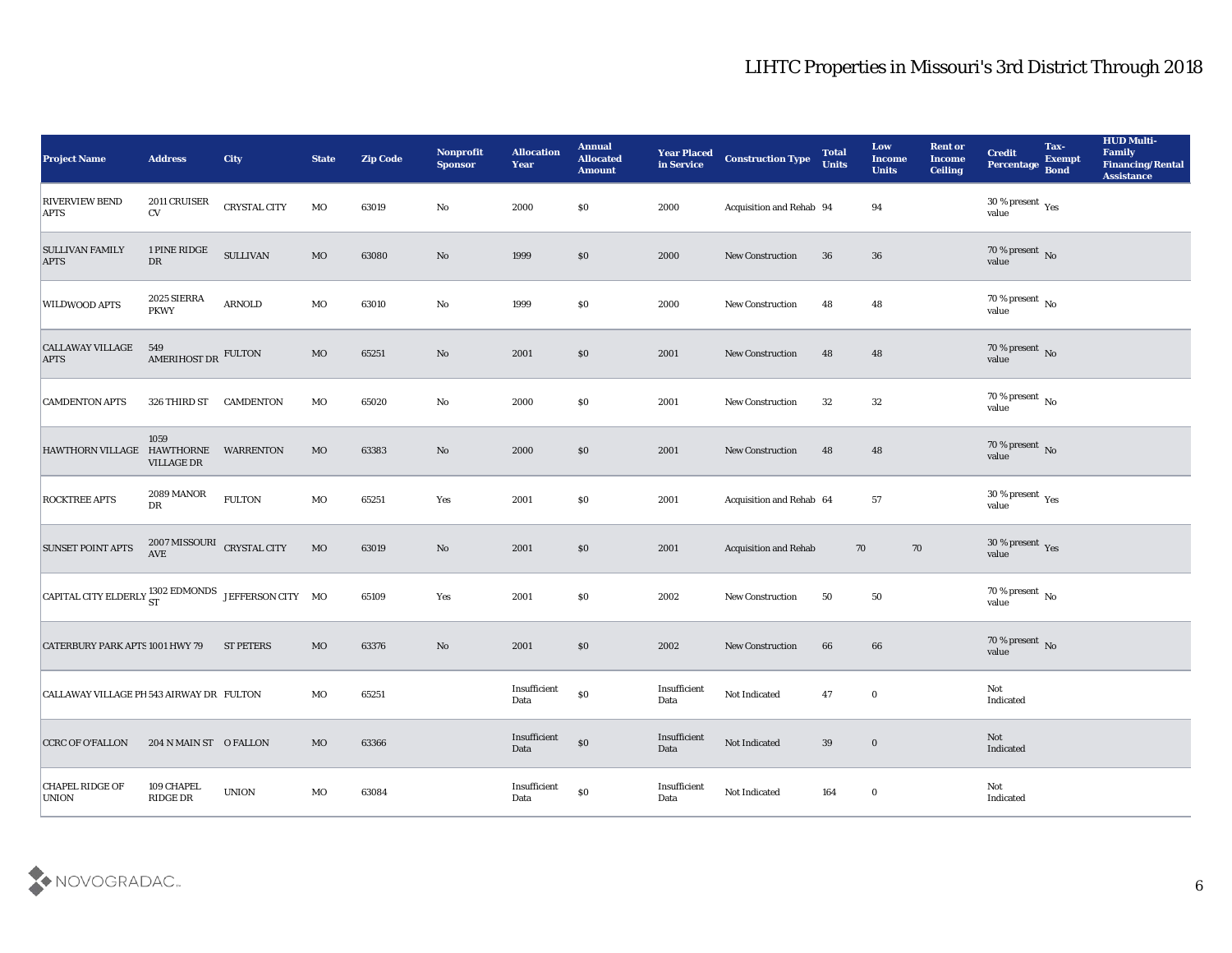| <b>Project Name</b>                                                                                                                                     | <b>Address</b>                                            | <b>City</b>         | <b>State</b> | <b>Zip Code</b> | Nonprofit<br><b>Sponsor</b> | <b>Allocation</b><br><b>Year</b>             | <b>Annual</b><br><b>Allocated</b><br><b>Amount</b> | <b>Year Placed</b><br>in Service | <b>Construction Type</b>     | <b>Total</b><br><b>Units</b> | Low<br><b>Income</b><br><b>Units</b> | <b>Rent or</b><br><b>Income</b><br><b>Ceiling</b> | <b>Credit</b><br><b>Percentage</b>      | Tax-<br><b>Exempt</b><br><b>Bond</b> | <b>HUD Multi-</b><br>Family<br><b>Financing/Rental</b><br><b>Assistance</b> |
|---------------------------------------------------------------------------------------------------------------------------------------------------------|-----------------------------------------------------------|---------------------|--------------|-----------------|-----------------------------|----------------------------------------------|----------------------------------------------------|----------------------------------|------------------------------|------------------------------|--------------------------------------|---------------------------------------------------|-----------------------------------------|--------------------------------------|-----------------------------------------------------------------------------|
| <b>RIVERVIEW BEND</b><br><b>APTS</b>                                                                                                                    | 2011 CRUISER<br>$\mathrm{CV}$                             | <b>CRYSTAL CITY</b> | $_{\rm MO}$  | 63019           | No                          | 2000                                         | \$0                                                | 2000                             | Acquisition and Rehab 94     |                              | 94                                   |                                                   | 30 % present $\gamma_{\rm es}$<br>value |                                      |                                                                             |
| <b>SULLIVAN FAMILY</b><br><b>APTS</b>                                                                                                                   | 1 PINE RIDGE<br>DR                                        | <b>SULLIVAN</b>     | MO           | 63080           | No                          | 1999                                         | \$0                                                | 2000                             | <b>New Construction</b>      | 36                           | 36                                   |                                                   | $70\,\%$ present $\,$ No value          |                                      |                                                                             |
| <b>WILDWOOD APTS</b>                                                                                                                                    | 2025 SIERRA<br><b>PKWY</b>                                | <b>ARNOLD</b>       | MO           | 63010           | $\mathbf{N}\mathbf{o}$      | 1999                                         | \$0                                                | 2000                             | <b>New Construction</b>      | 48                           | 48                                   |                                                   | $70\,\%$ present $\,$ No value          |                                      |                                                                             |
| <b>CALLAWAY VILLAGE</b><br><b>APTS</b>                                                                                                                  | 549<br>AMERIHOST DR FULTON                                |                     | $_{\rm MO}$  | 65251           | No                          | 2001                                         | \$0                                                | 2001                             | New Construction             | 48                           | 48                                   |                                                   | $70\,\%$ present $\,$ No value          |                                      |                                                                             |
| <b>CAMDENTON APTS</b>                                                                                                                                   | 326 THIRD ST                                              | <b>CAMDENTON</b>    | $_{\rm MO}$  | 65020           | No                          | 2000                                         | \$0                                                | 2001                             | <b>New Construction</b>      | 32                           | 32                                   |                                                   | $70\,\%$ present $\,$ No value          |                                      |                                                                             |
| HAWTHORN VILLAGE HAWTHORNE                                                                                                                              | 1059<br><b>VILLAGE DR</b>                                 | WARRENTON           | MO           | 63383           | No                          | 2000                                         | \$0                                                | 2001                             | <b>New Construction</b>      | 48                           | 48                                   |                                                   | $70\,\%$ present $\,$ No value          |                                      |                                                                             |
| <b>ROCKTREE APTS</b>                                                                                                                                    | <b>2089 MANOR</b><br>DR                                   | ${\tt FULTON}$      | MO           | 65251           | Yes                         | 2001                                         | \$0                                                | 2001                             | Acquisition and Rehab 64     |                              | 57                                   |                                                   | $30\,\%$ present $\,$ Yes value         |                                      |                                                                             |
| <b>SUNSET POINT APTS</b>                                                                                                                                | $2007\,\mathrm{MISSOURI}$ $\,$ CRYSTAL CITY<br><b>AVE</b> |                     | MO           | 63019           | No                          | 2001                                         | \$0                                                | 2001                             | <b>Acquisition and Rehab</b> | 70                           | 70                                   |                                                   | $30\,\%$ present $\,$ Yes value         |                                      |                                                                             |
| $\begin{array}{ l } \hline \texttt{CAPTAL CITY ELDERLY}\,\textcolor{red}{\textbf{302 EDMONDS}} & \texttt{JEFFERSON CITY} \quad \textbf{MO} \end{array}$ |                                                           |                     |              | 65109           | Yes                         | 2001                                         | \$0                                                | 2002                             | New Construction             | 50                           | 50                                   |                                                   | $70\,\%$ present $\,$ No value          |                                      |                                                                             |
| <b>CATERBURY PARK APTS 1001 HWY 79</b>                                                                                                                  |                                                           | <b>ST PETERS</b>    | MO           | 63376           | No                          | 2001                                         | \$0                                                | 2002                             | <b>New Construction</b>      | 66                           | 66                                   |                                                   | $70\,\%$ present $\,$ No value          |                                      |                                                                             |
| CALLAWAY VILLAGE PH 543 AIRWAY DR FULTON                                                                                                                |                                                           |                     | MO           | 65251           |                             | Insufficient<br>Data                         | $\$0$                                              | Insufficient<br>Data             | Not Indicated                | 47                           | $\bf{0}$                             |                                                   | Not<br>Indicated                        |                                      |                                                                             |
| <b>CCRC OF O'FALLON</b>                                                                                                                                 | 204 N MAIN ST O FALLON                                    |                     | $_{\rm MO}$  | 63366           |                             | $\label{eq:invariant} In sufficient$<br>Data | $\$0$                                              | $\bold{Insufficient}$<br>Data    | Not Indicated                | 39                           | $\bf{0}$                             |                                                   | $\operatorname{\bf Not}$<br>Indicated   |                                      |                                                                             |
| <b>CHAPEL RIDGE OF</b><br>UNION                                                                                                                         | 109 CHAPEL<br>RIDGE DR                                    | <b>UNION</b>        | $_{\rm MO}$  | 63084           |                             | Insufficient<br>Data                         | $\$0$                                              | Insufficient<br>Data             | $\hbox{\bf Not Indicated}$   | 164                          | $\bf{0}$                             |                                                   | Not<br>Indicated                        |                                      |                                                                             |

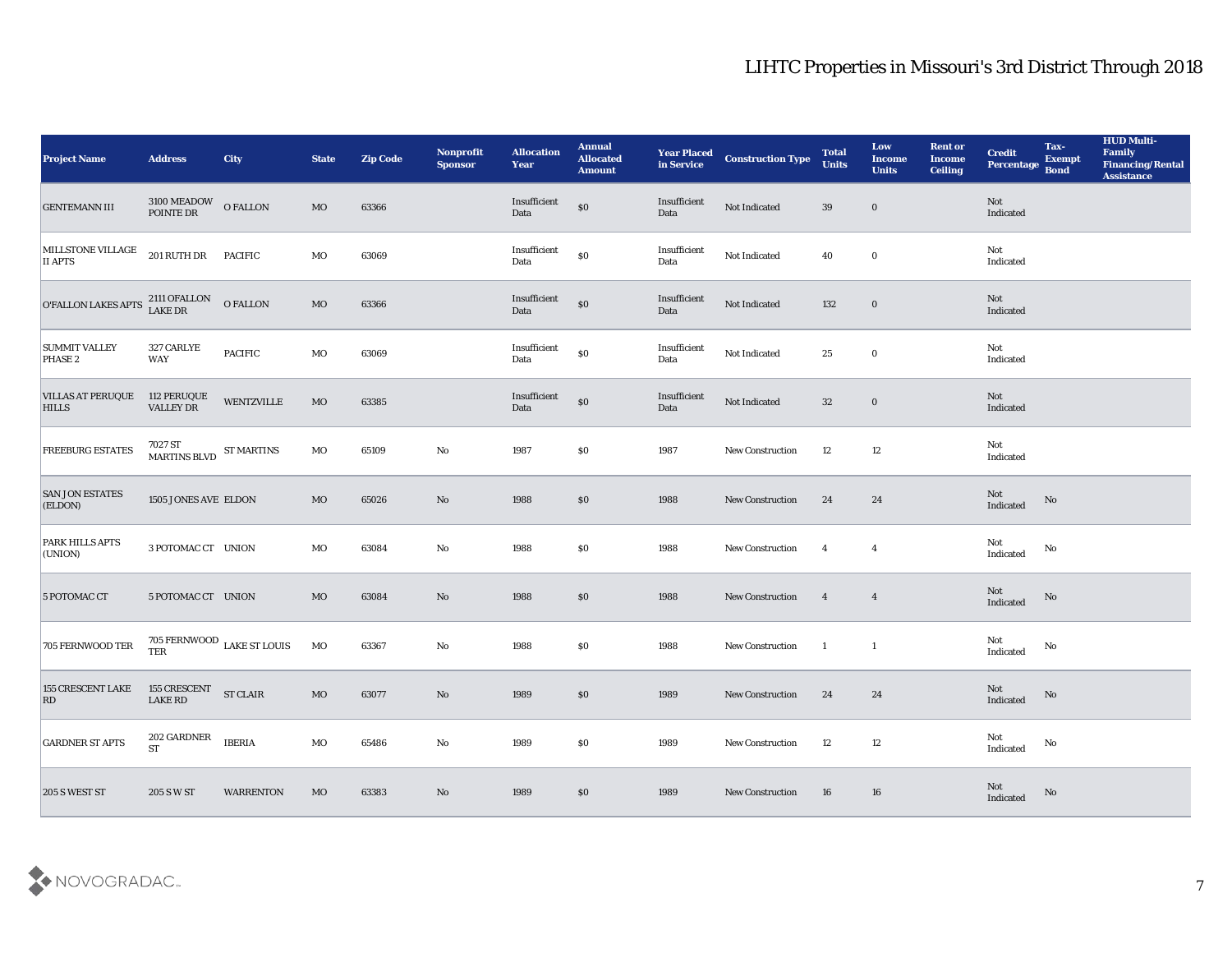| <b>Project Name</b>                      | <b>Address</b>                                                                   | City                                | <b>State</b> | <b>Zip Code</b> | Nonprofit<br><b>Sponsor</b> | <b>Allocation</b><br><b>Year</b> | <b>Annual</b><br><b>Allocated</b><br><b>Amount</b> | <b>Year Placed</b><br>in Service | <b>Construction Type</b> | <b>Total</b><br><b>Units</b> | Low<br><b>Income</b><br><b>Units</b> | <b>Rent or</b><br><b>Income</b><br><b>Ceiling</b> | <b>Credit</b><br>Percentage Bond                  | Tax-<br><b>Exempt</b>  | <b>HUD Multi-</b><br>Family<br><b>Financing/Rental</b><br><b>Assistance</b> |
|------------------------------------------|----------------------------------------------------------------------------------|-------------------------------------|--------------|-----------------|-----------------------------|----------------------------------|----------------------------------------------------|----------------------------------|--------------------------|------------------------------|--------------------------------------|---------------------------------------------------|---------------------------------------------------|------------------------|-----------------------------------------------------------------------------|
| <b>GENTEMANN III</b>                     | $3100\,\mathrm{MEADOW}$ $\quad$ O FALLON POINTE DR                               |                                     | MO           | 63366           |                             | Insufficient<br>Data             | \$0                                                | Insufficient<br>Data             | Not Indicated            | 39                           | $\bf{0}$                             |                                                   | Not<br>Indicated                                  |                        |                                                                             |
| MILLSTONE VILLAGE 201 RUTH DR<br>II APTS |                                                                                  | <b>PACIFIC</b>                      | MO           | 63069           |                             | Insufficient<br>Data             | $\boldsymbol{\mathsf{S}}\boldsymbol{\mathsf{O}}$   | Insufficient<br>Data             | Not Indicated            | 40                           | $\bf{0}$                             |                                                   | Not<br>Indicated                                  |                        |                                                                             |
| <b>O'FALLON LAKES APTS</b>               | 2111 OFALLON<br>LAKE DR                                                          | O FALLON                            | MO           | 63366           |                             | Insufficient<br>Data             | $\$0$                                              | Insufficient<br>Data             | Not Indicated            | 132                          | $\bf{0}$                             |                                                   | Not<br>Indicated                                  |                        |                                                                             |
| <b>SUMMIT VALLEY</b><br>PHASE 2          | 327 CARLYE<br><b>WAY</b>                                                         | <b>PACIFIC</b>                      | $_{\rm MO}$  | 63069           |                             | Insufficient<br>Data             | \$0                                                | Insufficient<br>Data             | Not Indicated            | 25                           | $\bf{0}$                             |                                                   | Not<br>Indicated                                  |                        |                                                                             |
| <b>VILLAS AT PERUQUE</b><br><b>HILLS</b> | 112 PERUQUE<br><b>VALLEY DR</b>                                                  | <b>WENTZVILLE</b>                   | MO           | 63385           |                             | Insufficient<br>Data             | $\$0$                                              | Insufficient<br>Data             | Not Indicated            | 32                           | $\bf{0}$                             |                                                   | Not<br>Indicated                                  |                        |                                                                             |
| <b>FREEBURG ESTATES</b>                  | $7027\,\mathrm{ST}$ $$\rm{S T}$ MARTINS BLVD $$\rm{ST}$ MARTINS $$\rm{MARTINS}$$ |                                     | MO           | 65109           | No                          | 1987                             | \$0                                                | 1987                             | <b>New Construction</b>  | 12                           | 12                                   |                                                   | Not<br>Indicated                                  |                        |                                                                             |
| <b>SAN JON ESTATES</b><br>(ELDON)        | 1505 JONES AVE ELDON                                                             |                                     | MO           | 65026           | No                          | 1988                             | $\$0$                                              | 1988                             | <b>New Construction</b>  | 24                           | 24                                   |                                                   | Not<br>$\label{thm:indicated} \textbf{Indicated}$ | $\mathbf{N}\mathbf{o}$ |                                                                             |
| PARK HILLS APTS<br>(UNION)               | 3 POTOMAC CT UNION                                                               |                                     | MO           | 63084           | No                          | 1988                             | \$0                                                | 1988                             | <b>New Construction</b>  | $\overline{\mathbf{4}}$      | $\overline{4}$                       |                                                   | Not<br>Indicated                                  | No                     |                                                                             |
| 5 POTOMAC CT                             | 5 POTOMAC CT UNION                                                               |                                     | MO           | 63084           | No                          | 1988                             | $\boldsymbol{\mathsf{S}}\boldsymbol{\mathsf{0}}$   | 1988                             | <b>New Construction</b>  | $\overline{4}$               | $\overline{4}$                       |                                                   | Not<br>Indicated                                  | No                     |                                                                             |
| 705 FERNWOOD TER                         | <b>TER</b>                                                                       | 705 FERNWOOD $_{\rm LAKE}$ ST LOUIS | MO           | 63367           | No                          | 1988                             | \$0                                                | 1988                             | <b>New Construction</b>  | $\blacksquare$               | 1                                    |                                                   | Not<br>Indicated                                  | No                     |                                                                             |
| <b>155 CRESCENT LAKE</b><br> RD          | 155 CRESCENT<br><b>LAKE RD</b>                                                   | <b>ST CLAIR</b>                     | MO           | 63077           | No                          | 1989                             | \$0                                                | 1989                             | <b>New Construction</b>  | 24                           | 24                                   |                                                   | Not<br>Indicated                                  | No                     |                                                                             |
| <b>GARDNER ST APTS</b>                   | $202$ GARDNER<br>$\operatorname{ST}$                                             | <b>IBERIA</b>                       | $_{\rm MO}$  | 65486           | $\mathbf {No}$              | 1989                             | $\$0$                                              | 1989                             | New Construction         | 12                           | $12\,$                               |                                                   | Not<br>Indicated                                  | $\mathbf {No}$         |                                                                             |
| 205 S WEST ST                            | 205 S W ST                                                                       | <b>WARRENTON</b>                    | MO           | 63383           | No                          | 1989                             | $\$0$                                              | 1989                             | <b>New Construction</b>  | 16                           | 16                                   |                                                   | Not<br>Indicated                                  | $\mathbf{N}\mathbf{o}$ |                                                                             |

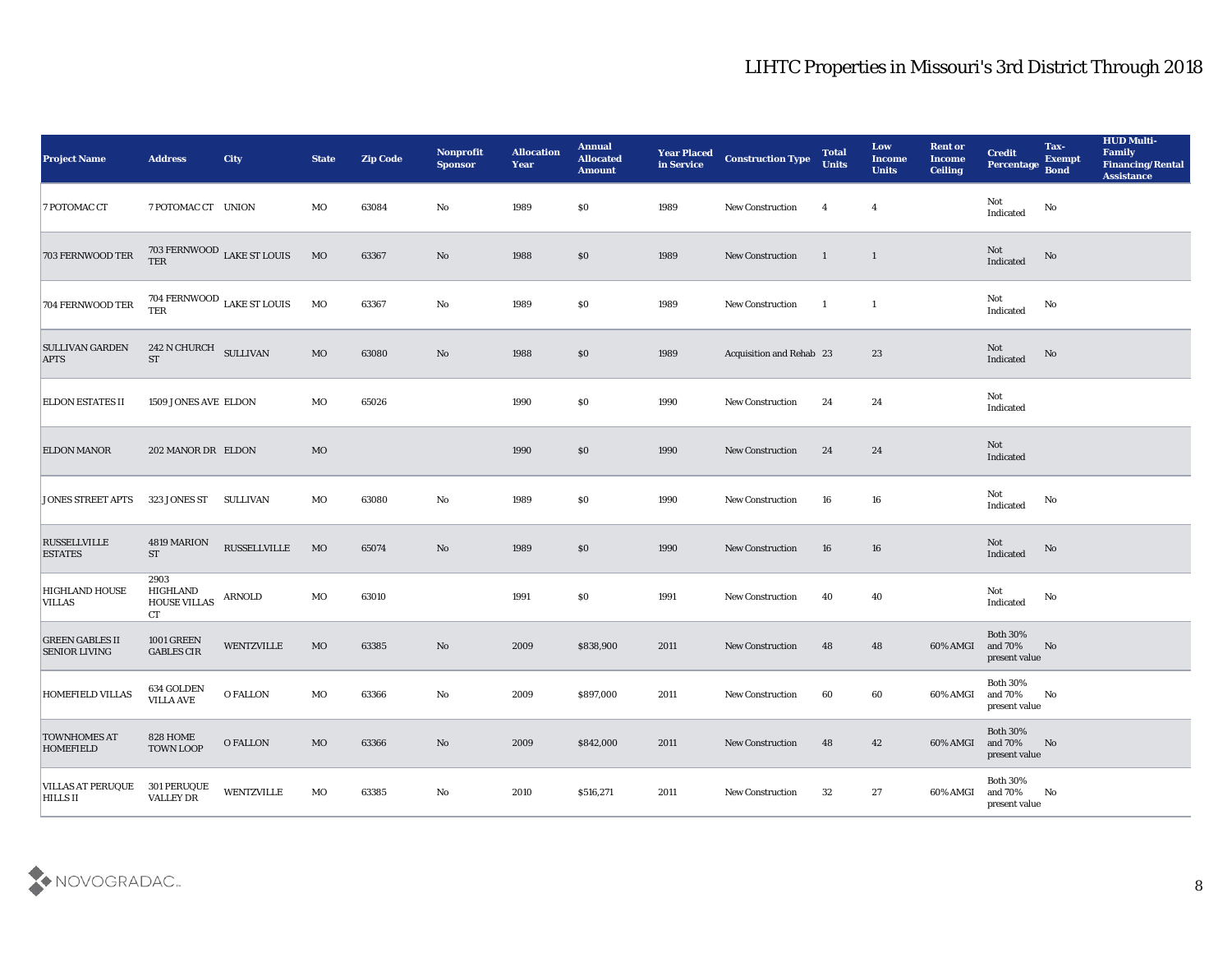| <b>Project Name</b>                            | <b>Address</b>                                | City                                  | <b>State</b> | <b>Zip Code</b> | Nonprofit<br><b>Sponsor</b> | <b>Allocation</b><br><b>Year</b> | <b>Annual</b><br><b>Allocated</b><br><b>Amount</b> | <b>Year Placed</b><br>in Service | <b>Construction Type</b> | <b>Total</b><br><b>Units</b> | Low<br><b>Income</b><br><b>Units</b> | <b>Rent or</b><br><b>Income</b><br><b>Ceiling</b> | <b>Credit</b><br>Percentage                             | Tax-<br><b>Exempt</b><br><b>Bond</b> | <b>HUD Multi-</b><br>Family<br><b>Financing/Rental</b><br><b>Assistance</b> |
|------------------------------------------------|-----------------------------------------------|---------------------------------------|--------------|-----------------|-----------------------------|----------------------------------|----------------------------------------------------|----------------------------------|--------------------------|------------------------------|--------------------------------------|---------------------------------------------------|---------------------------------------------------------|--------------------------------------|-----------------------------------------------------------------------------|
| 7 POTOMAC CT                                   | 7 POTOMAC CT UNION                            |                                       | MO           | 63084           | No                          | 1989                             | $\$0$                                              | 1989                             | New Construction         | $\overline{4}$               | $\overline{4}$                       |                                                   | Not<br>Indicated                                        | No                                   |                                                                             |
| 703 FERNWOOD TER                               |                                               | $703$ FERNWOOD $\:$ LAKE ST LOUIS TER | $_{\rm MO}$  | 63367           | No                          | 1988                             | $\$0$                                              | 1989                             | <b>New Construction</b>  | $\blacksquare$               | $\mathbf{1}$                         |                                                   | Not<br>Indicated                                        | No                                   |                                                                             |
| 704 FERNWOOD TER                               | <b>TER</b>                                    | 704 FERNWOOD LAKE ST LOUIS            | MO           | 63367           | $\rm\thinspace No$          | 1989                             | \$0\$                                              | 1989                             | New Construction         | $\blacksquare$               | $\mathbf{1}$                         |                                                   | Not<br>Indicated                                        | No                                   |                                                                             |
| <b>SULLIVAN GARDEN</b><br><b>APTS</b>          | 242 N CHURCH SULLIVAN<br><b>ST</b>            |                                       | MO           | 63080           | No                          | 1988                             | \$0\$                                              | 1989                             | Acquisition and Rehab 23 |                              | 23                                   |                                                   | Not<br>Indicated                                        | $\rm No$                             |                                                                             |
| <b>ELDON ESTATES II</b>                        | 1509 JONES AVE ELDON                          |                                       | MO           | 65026           |                             | 1990                             | \$0\$                                              | 1990                             | <b>New Construction</b>  | 24                           | 24                                   |                                                   | Not<br>Indicated                                        |                                      |                                                                             |
| <b>ELDON MANOR</b>                             | 202 MANOR DR ELDON                            |                                       | MO           |                 |                             | 1990                             | $\$0$                                              | 1990                             | New Construction         | 24                           | 24                                   |                                                   | Not<br>Indicated                                        |                                      |                                                                             |
| <b>JONES STREET APTS</b>                       | 323 JONES ST                                  | SULLIVAN                              | MO           | 63080           | No                          | 1989                             | $\$0$                                              | 1990                             | <b>New Construction</b>  | 16                           | 16                                   |                                                   | Not<br>Indicated                                        | No                                   |                                                                             |
| <b>RUSSELLVILLE</b><br><b>ESTATES</b>          | 4819 MARION<br><b>ST</b>                      | <b>RUSSELLVILLE</b>                   | MO           | 65074           | No                          | 1989                             | \$0\$                                              | 1990                             | <b>New Construction</b>  | 16                           | 16                                   |                                                   | Not<br>Indicated                                        | No                                   |                                                                             |
| <b>HIGHLAND HOUSE</b><br>VILLAS                | 2903<br><b>HIGHLAND</b><br>HOUSE VILLAS<br>CT | ARNOLD                                | MO           | 63010           |                             | 1991                             | \$0\$                                              | 1991                             | <b>New Construction</b>  | 40                           | 40                                   |                                                   | Not<br>Indicated                                        | $\mathbf{N}\mathbf{o}$               |                                                                             |
| <b>GREEN GABLES II</b><br><b>SENIOR LIVING</b> | <b>1001 GREEN</b><br><b>GABLES CIR</b>        | WENTZVILLE                            | $_{\rm MO}$  | 63385           | No                          | 2009                             | \$838,900                                          | 2011                             | <b>New Construction</b>  | 48                           | 48                                   | 60% AMGI                                          | <b>Both 30%</b><br>and 70%<br>present value             | No                                   |                                                                             |
| <b>HOMEFIELD VILLAS</b>                        | 634 GOLDEN<br><b>VILLA AVE</b>                | <b>O FALLON</b>                       | MO           | 63366           | No                          | 2009                             | \$897,000                                          | 2011                             | <b>New Construction</b>  | 60                           | 60                                   | 60% AMGI and 70%                                  | <b>Both 30%</b><br>$\,$ present value                   | No                                   |                                                                             |
| <b>TOWNHOMES AT</b><br><b>HOMEFIELD</b>        | <b>828 HOME</b><br>TOWN LOOP                  | $\hbox{O FALLON}$                     | $\rm MO$     | 63366           | $\mathbf {No}$              | 2009                             | \$842,000                                          | 2011                             | New Construction         | 48                           | 42                                   |                                                   | <b>Both 30%</b><br>60% AMGI and 70% No<br>present value |                                      |                                                                             |
| <b>VILLAS AT PERUQUE</b><br>HILLS II           | 301 PERUQUE<br><b>VALLEY DR</b>               | <b>WENTZVILLE</b>                     | MO           | 63385           | $\mathbf {No}$              | 2010                             | \$516,271                                          | 2011                             | New Construction         | 32                           | 27                                   | 60% AMGI                                          | Both $30\%$<br>and 70%<br>present value                 | $\mathbf{N}\mathbf{o}$               |                                                                             |

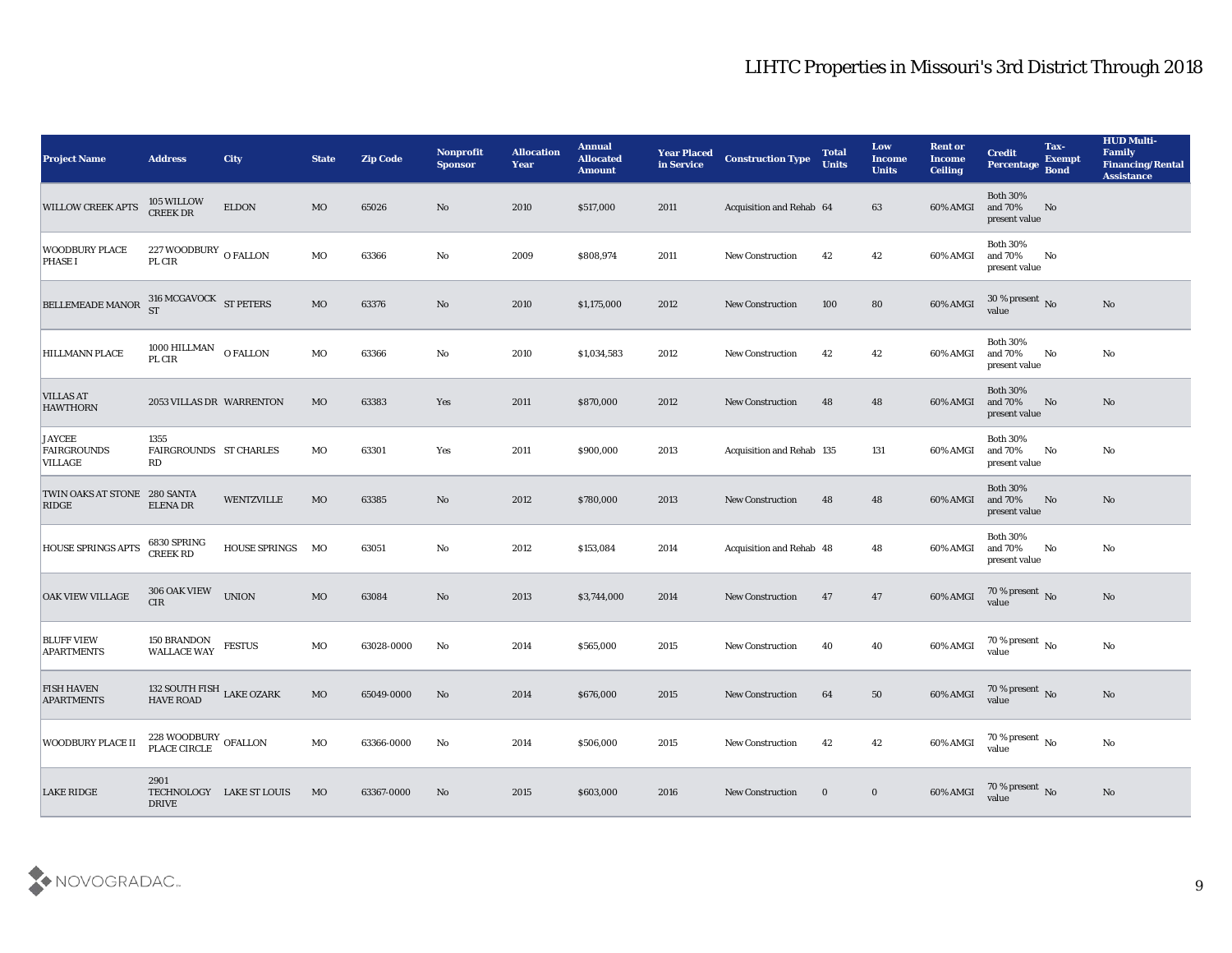| <b>Project Name</b>                            | <b>Address</b>                                        | <b>City</b>              | <b>State</b> | <b>Zip Code</b> | <b>Nonprofit</b><br><b>Sponsor</b> | <b>Allocation</b><br><b>Year</b> | <b>Annual</b><br><b>Allocated</b><br><b>Amount</b> | <b>Year Placed</b><br>in Service | <b>Construction Type</b>  | <b>Total</b><br><b>Units</b> | Low<br><b>Income</b><br><b>Units</b> | <b>Rent or</b><br><b>Income</b><br><b>Ceiling</b> | <b>Credit</b><br>Percentage                 | Tax-<br><b>Exempt</b><br><b>Bond</b> | <b>HUD Multi-</b><br>Family<br><b>Financing/Rental</b><br><b>Assistance</b> |
|------------------------------------------------|-------------------------------------------------------|--------------------------|--------------|-----------------|------------------------------------|----------------------------------|----------------------------------------------------|----------------------------------|---------------------------|------------------------------|--------------------------------------|---------------------------------------------------|---------------------------------------------|--------------------------------------|-----------------------------------------------------------------------------|
| <b>WILLOW CREEK APTS</b>                       | 105 WILLOW<br><b>CREEK DR</b>                         | <b>ELDON</b>             | <b>MO</b>    | 65026           | No                                 | 2010                             | \$517,000                                          | 2011                             | Acquisition and Rehab 64  |                              | 63                                   | 60% AMGI                                          | <b>Both 30%</b><br>and 70%<br>present value | No                                   |                                                                             |
| <b>WOODBURY PLACE</b><br><b>PHASE I</b>        | 227 WOODBURY O FALLON<br>PL CIR                       |                          | MO           | 63366           | No                                 | 2009                             | \$808,974                                          | 2011                             | <b>New Construction</b>   | 42                           | 42                                   | 60% AMGI                                          | <b>Both 30%</b><br>and 70%<br>present value | No                                   |                                                                             |
| BELLEMEADE MANOR 316 MCGAVOCK ST PETERS        |                                                       |                          | MO           | 63376           | No                                 | 2010                             | \$1,175,000                                        | 2012                             | <b>New Construction</b>   | 100                          | 80                                   | 60% AMGI                                          | $30\,\%$ present $\,$ No value              |                                      | No                                                                          |
| <b>HILLMANN PLACE</b>                          | $1000\rm~HILLMAN$<br>PL CIR                           | <b>O FALLON</b>          | MO           | 63366           | No                                 | 2010                             | \$1,034,583                                        | 2012                             | <b>New Construction</b>   | 42                           | 42                                   | 60% AMGI                                          | <b>Both 30%</b><br>and 70%<br>present value | No                                   | No                                                                          |
| <b>VILLAS AT</b><br><b>HAWTHORN</b>            | 2053 VILLAS DR WARRENTON                              |                          | MO           | 63383           | Yes                                | 2011                             | \$870,000                                          | 2012                             | <b>New Construction</b>   | 48                           | 48                                   | 60% AMGI                                          | <b>Both 30%</b><br>and 70%<br>present value | No                                   | No                                                                          |
| <b>JAYCEE</b><br><b>FAIRGROUNDS</b><br>VILLAGE | 1355<br>FAIRGROUNDS ST CHARLES<br>RD                  |                          | MO           | 63301           | Yes                                | 2011                             | \$900,000                                          | 2013                             | Acquisition and Rehab 135 |                              | 131                                  | 60% AMGI                                          | <b>Both 30%</b><br>and 70%<br>present value | $\mathbf{N}\mathbf{o}$               | No                                                                          |
| TWIN OAKS AT STONE 280 SANTA<br>RIDGE          | <b>ELENA DR</b>                                       | <b>WENTZVILLE</b>        | MO           | 63385           | No                                 | 2012                             | \$780,000                                          | 2013                             | <b>New Construction</b>   | 48                           | 48                                   | 60% AMGI                                          | <b>Both 30%</b><br>and 70%<br>present value | No                                   | No                                                                          |
| HOUSE SPRINGS APTS                             | 6830 SPRING<br><b>CREEK RD</b>                        | <b>HOUSE SPRINGS</b>     | MO           | 63051           | No                                 | 2012                             | \$153,084                                          | 2014                             | Acquisition and Rehab 48  |                              | 48                                   | 60% AMGI                                          | <b>Both 30%</b><br>and 70%<br>present value | No                                   | No                                                                          |
| OAK VIEW VILLAGE                               | 306 OAK VIEW<br><b>CIR</b>                            | <b>UNION</b>             | MO           | 63084           | $\mathbf{N}\mathbf{o}$             | 2013                             | \$3,744,000                                        | 2014                             | <b>New Construction</b>   | 47                           | 47                                   | 60% AMGI                                          | $70\,\%$ present $\,$ No value              |                                      | No                                                                          |
| <b>BLUFF VIEW</b><br><b>APARTMENTS</b>         | <b>150 BRANDON<br/>WALLACE WAY</b>                    | $\operatorname{FESTUS}$  | MO           | 63028-0000      | No                                 | 2014                             | \$565,000                                          | 2015                             | New Construction          | 40                           | 40                                   | 60% AMGI                                          | $70\,\%$ present $\,$ No value              |                                      | $\rm\thinspace No$                                                          |
| <b>FISH HAVEN</b><br><b>APARTMENTS</b>         | 132 SOUTH FISH LAKE OZARK<br><b>HAVE ROAD</b>         |                          | MO           | 65049-0000      | No                                 | 2014                             | \$676,000                                          | 2015                             | <b>New Construction</b>   | 64                           | 50                                   | 60% AMGI                                          | 70 % present No<br>value                    |                                      | No                                                                          |
| <b>WOODBURY PLACE II</b>                       | $228$ WOODBURY OFALLON PLACE CIRCLE $\,$ OFALLON $\,$ |                          | MO           | 63366-0000      | $\mathbf{N}\mathbf{o}$             | 2014                             | \$506,000                                          | 2015                             | New Construction          | 42                           | 42                                   | 60% AMGI                                          | $70\,\%$ present $\,$ No value              |                                      | $\mathbf{N}\mathbf{o}$                                                      |
| <b>LAKE RIDGE</b>                              | 2901<br><b>DRIVE</b>                                  | TECHNOLOGY LAKE ST LOUIS | MO           | 63367-0000      | No                                 | 2015                             | \$603,000                                          | 2016                             | <b>New Construction</b>   | $\bf{0}$                     | $\bf{0}$                             | 60% AMGI                                          | $70\,\%$ present $\,$ No value              |                                      | No                                                                          |

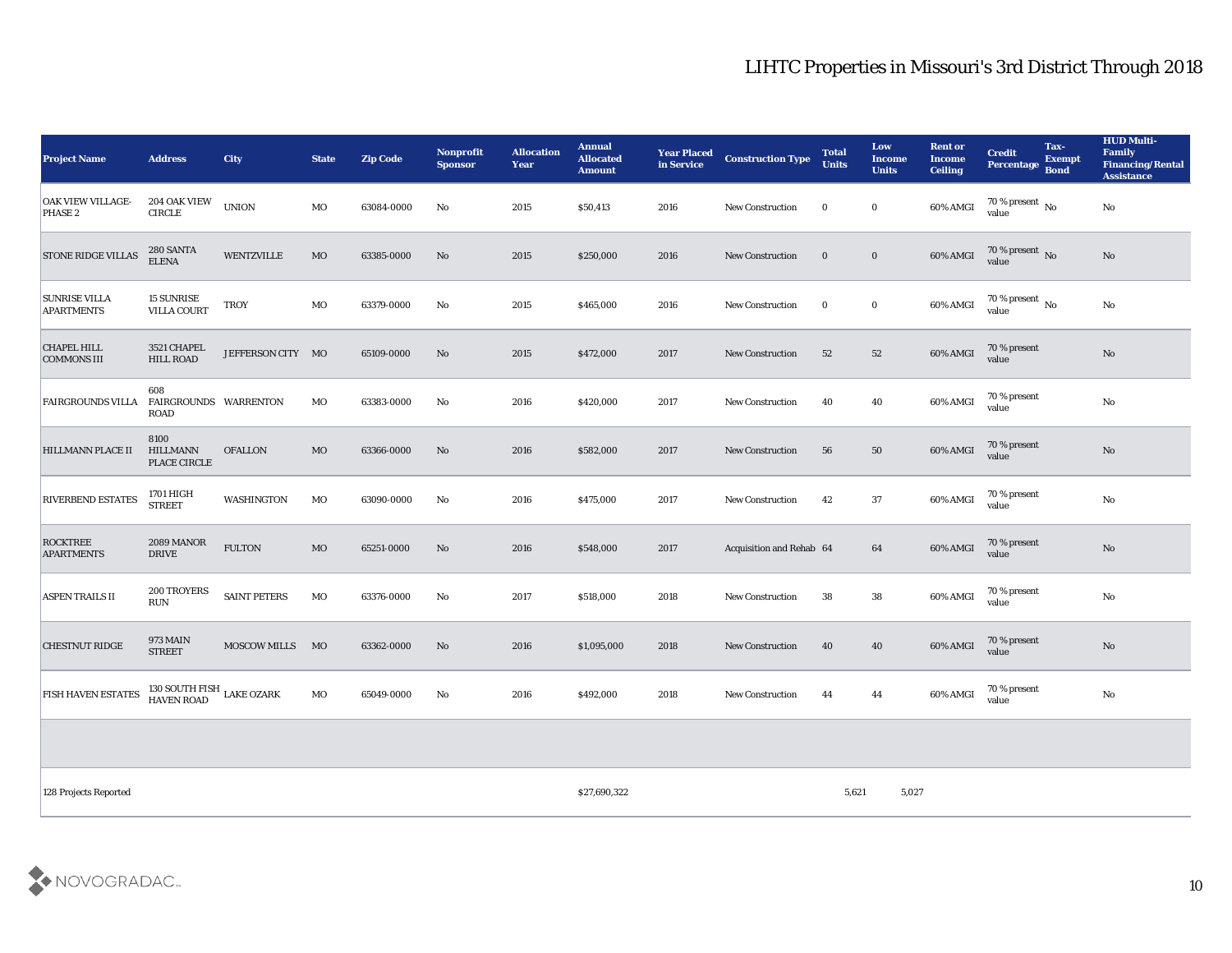| <b>Project Name</b>                       | <b>Address</b>                              | <b>City</b>         | <b>State</b> | <b>Zip Code</b> | <b>Nonprofit</b><br><b>Sponsor</b> | <b>Allocation</b><br><b>Year</b> | <b>Annual</b><br><b>Allocated</b><br><b>Amount</b> | <b>Year Placed</b><br>in Service | <b>Construction Type</b> | <b>Total</b><br><b>Units</b> | Low<br><b>Income</b><br><b>Units</b> | <b>Rent or</b><br><b>Income</b><br><b>Ceiling</b> | <b>Credit</b><br>Percentage        | Tax-<br><b>Exempt</b><br><b>Bond</b> | <b>HUD Multi-</b><br>Family<br><b>Financing/Rental</b><br><b>Assistance</b> |
|-------------------------------------------|---------------------------------------------|---------------------|--------------|-----------------|------------------------------------|----------------------------------|----------------------------------------------------|----------------------------------|--------------------------|------------------------------|--------------------------------------|---------------------------------------------------|------------------------------------|--------------------------------------|-----------------------------------------------------------------------------|
| OAK VIEW VILLAGE-<br>PHASE 2              | 204 OAK VIEW<br><b>CIRCLE</b>               | <b>UNION</b>        | MO           | 63084-0000      | No                                 | 2015                             | \$50,413                                           | 2016                             | <b>New Construction</b>  | $\bf{0}$                     | $\bf{0}$                             | 60% AMGI                                          | 70 % present $\,$ No $\,$<br>value |                                      | $\mathbf{No}$                                                               |
| <b>STONE RIDGE VILLAS</b>                 | 280 SANTA<br><b>ELENA</b>                   | WENTZVILLE          | MO           | 63385-0000      | No                                 | 2015                             | \$250,000                                          | 2016                             | <b>New Construction</b>  | $\mathbf{0}$                 | $\bf{0}$                             | 60% AMGI                                          | $70\,\%$ present $\,$ No value     |                                      | No                                                                          |
| <b>SUNRISE VILLA</b><br><b>APARTMENTS</b> | <b>15 SUNRISE</b><br><b>VILLA COURT</b>     | <b>TROY</b>         | MO           | 63379-0000      | No                                 | 2015                             | \$465,000                                          | 2016                             | <b>New Construction</b>  | $\bf{0}$                     | $\bf{0}$                             | 60% AMGI                                          | $70\,\%$ present $\,$ No value     |                                      | $\mathbf{N}\mathbf{o}$                                                      |
| <b>CHAPEL HILL</b><br><b>COMMONS III</b>  | 3521 CHAPEL<br><b>HILL ROAD</b>             | JEFFERSON CITY MO   |              | 65109-0000      | No                                 | 2015                             | \$472,000                                          | 2017                             | <b>New Construction</b>  | 52                           | 52                                   | 60% AMGI                                          | 70 % present<br>value              |                                      | $\rm No$                                                                    |
| <b>FAIRGROUNDS VILLA</b>                  | 608<br>FAIRGROUNDS WARRENTON<br><b>ROAD</b> |                     | MO           | 63383-0000      | No                                 | 2016                             | \$420,000                                          | 2017                             | New Construction         | 40                           | 40                                   | 60% AMGI                                          | 70 % present<br>value              |                                      | No                                                                          |
| <b>HILLMANN PLACE II</b>                  | 8100<br><b>HILLMANN</b><br>PLACE CIRCLE     | <b>OFALLON</b>      | MO           | 63366-0000      | No                                 | 2016                             | \$582,000                                          | 2017                             | <b>New Construction</b>  | 56                           | 50                                   | 60% AMGI                                          | 70 % present<br>value              |                                      | $\mathbf{N}\mathbf{o}$                                                      |
| <b>RIVERBEND ESTATES</b>                  | 1701 HIGH<br><b>STREET</b>                  | <b>WASHINGTON</b>   | MO           | 63090-0000      | No                                 | 2016                             | \$475,000                                          | 2017                             | <b>New Construction</b>  | 42                           | 37                                   | 60% AMGI                                          | 70 % present<br>value              |                                      | No                                                                          |
| <b>ROCKTREE</b><br><b>APARTMENTS</b>      | 2089 MANOR<br><b>DRIVE</b>                  | <b>FULTON</b>       | $_{\rm MO}$  | 65251-0000      | No                                 | 2016                             | \$548,000                                          | 2017                             | Acquisition and Rehab 64 |                              | 64                                   | 60% AMGI                                          | 70 % present<br>value              |                                      | No                                                                          |
| ASPEN TRAILS II                           | 200 TROYERS<br>$\rm RUN$                    | <b>SAINT PETERS</b> | MO           | 63376-0000      | No                                 | 2017                             | \$518,000                                          | 2018                             | <b>New Construction</b>  | 38                           | 38                                   | 60% AMGI                                          | 70 % present<br>value              |                                      | $\rm\thinspace No$                                                          |
| <b>CHESTNUT RIDGE</b>                     | <b>973 MAIN</b><br><b>STREET</b>            | <b>MOSCOW MILLS</b> | MO           | 63362-0000      | No                                 | 2016                             | \$1,095,000                                        | 2018                             | New Construction         | 40                           | 40                                   | 60% AMGI                                          | 70 % present<br>value              |                                      | No                                                                          |
| <b>FISH HAVEN ESTATES</b>                 | $130$ SOUTH FISH $\:$ LAKE OZARK HAVEN ROAD |                     | MO           | 65049-0000      | No                                 | 2016                             | \$492,000                                          | 2018                             | New Construction         | 44                           | 44                                   | 60% AMGI                                          | 70 % present<br>value              |                                      | $\mathbf {No}$                                                              |
|                                           |                                             |                     |              |                 |                                    |                                  |                                                    |                                  |                          |                              |                                      |                                                   |                                    |                                      |                                                                             |
| 128 Projects Reported                     |                                             |                     |              |                 |                                    |                                  | \$27,690,322                                       |                                  |                          | 5,621                        | 5,027                                |                                                   |                                    |                                      |                                                                             |